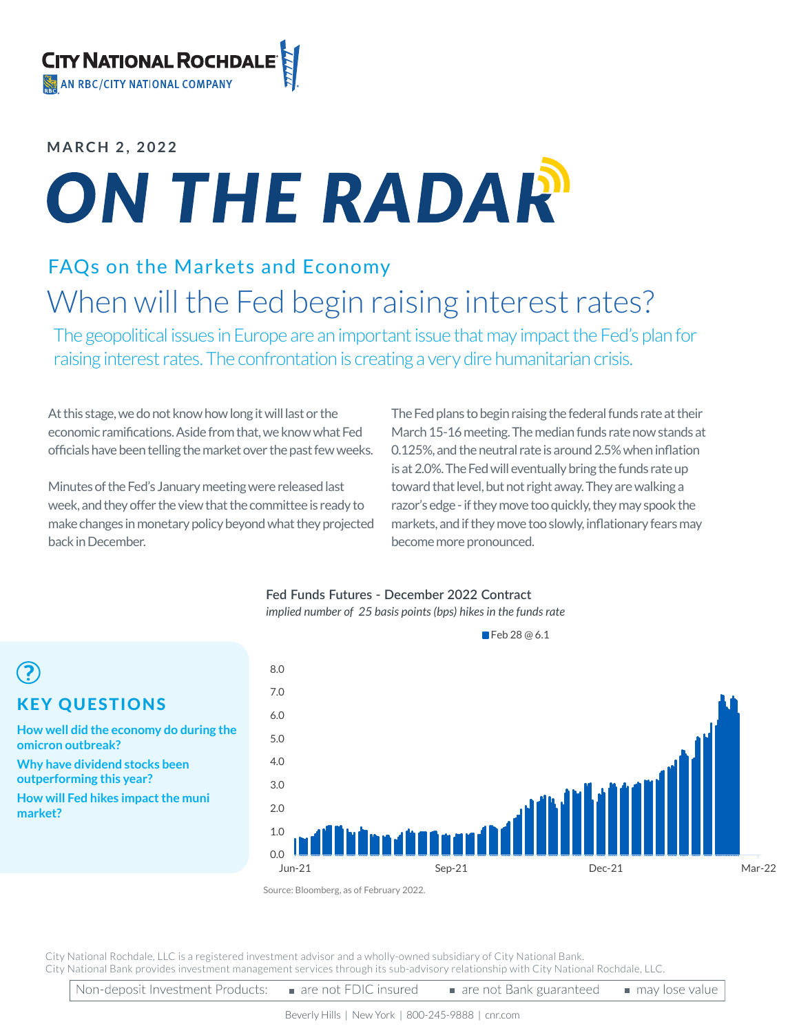## **MARCH 2, 2022**

KEY QUESTIONS

**Why have dividend stocks been outperforming this year?**

**How will Fed hikes impact the muni** 

**omicron outbreak?**

**market?**

 $\odot$ 

**How well did the economy do during the** 

# ON THE RADAR

# FAQs on the Markets and Economy When will the Fed begin raising interest rates?

The geopolitical issues in Europe are an important issue that may impact the Fed's plan for raising interest rates. The confrontation is creating a very dire humanitarian crisis.

At this stage, we do not know how long it will last or the economic ramifications. Aside from that, we know what Fed officials have been telling the market over the past few weeks.

Minutes of the Fed's January meeting were released last week, and they offer the view that the committee is ready to make changes in monetary policy beyond what they projected back in December.

The Fed plans to begin raising the federal funds rate at their March 15-16 meeting. The median funds rate now stands at 0.125%, and the neutral rate is around 2.5% when inflation is at 2.0%. The Fed will eventually bring the funds rate up toward that level, but not right away. They are walking a razor's edge - if they move too quickly, they may spook the markets, and if they move too slowly, inflationary fears may become more pronounced.

### **Fed Funds Futures - December 2022 Contract** *implied number of 25 basis points (bps) hikes in the funds rate*

0.0 1.0  $2.0$ 3.0 4.0 5.0 6.0 7.0 8.0 Jun-21 Sep-21 Dec-21 Mar-22

Feb 28 @ 6.1

City National Rochdale, LLC is a registered investment advisor and a wholly-owned subsidiary of City National Bank. City National Bank provides investment management services through its sub-advisory relationship with City National Rochdale, LLC.

Source: Bloomberg, as of February 2022.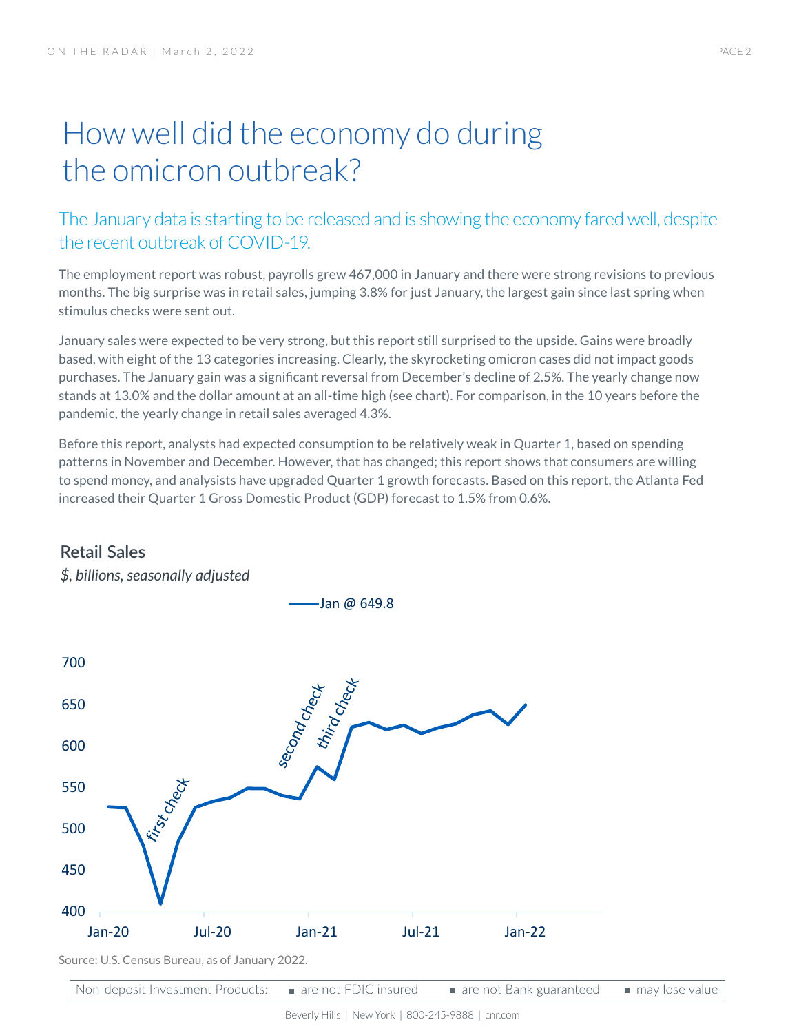# How well did the economy do during the omicron outbreak?

# The January data is starting to be released and is showing the economy fared well, despite the recent outbreak of COVID-19.

The employment report was robust, payrolls grew 467,000 in January and there were strong revisions to previous months. The big surprise was in retail sales, jumping 3.8% for just January, the largest gain since last spring when stimulus checks were sent out.

January sales were expected to be very strong, but this report still surprised to the upside. Gains were broadly based, with eight of the 13 categories increasing. Clearly, the skyrocketing omicron cases did not impact goods purchases. The January gain was a significant reversal from December's decline of 2.5%. The yearly change now stands at 13.0% and the dollar amount at an all-time high (see chart). For comparison, in the 10 years before the pandemic, the yearly change in retail sales averaged 4.3%.

Before this report, analysts had expected consumption to be relatively weak in Quarter 1, based on spending patterns in November and December. However, that has changed; this report shows that consumers are willing to spend money, and analysists have upgraded Quarter 1 growth forecasts. Based on this report, the Atlanta Fed increased their Quarter 1 Gross Domestic Product (GDP) forecast to 1.5% from 0.6%.



Jan @ 649.8

# **Retail Sales**

*\$, billions, seasonally adjusted*



Beverly Hills | New York | 800-245-9888 | cnr.com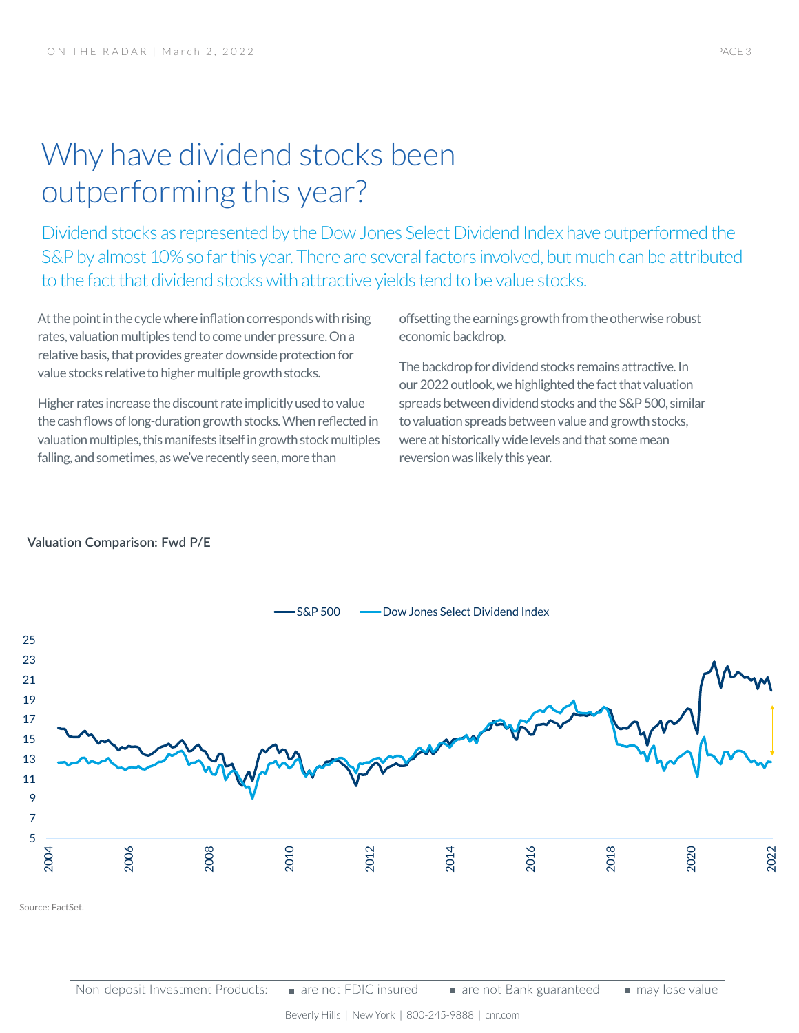# Why have dividend stocks been outperforming this year?

Dividend stocks as represented by the Dow Jones Select Dividend Index have outperformed the S&P by almost 10% so far this year. There are several factors involved, but much can be attributed to the fact that dividend stocks with attractive yields tend to be value stocks.

At the point in the cycle where inflation corresponds with rising rates, valuation multiples tend to come under pressure. On a relative basis, that provides greater downside protection for value stocks relative to higher multiple growth stocks.

Higher rates increase the discount rate implicitly used to value the cash flows of long-duration growth stocks. When reflected in valuation multiples, this manifests itself in growth stock multiples falling, and sometimes, as we've recently seen, more than

offsetting the earnings growth from the otherwise robust economic backdrop.

The backdrop for dividend stocks remains attractive. In our 2022 outlook, we highlighted the fact that valuation spreads between dividend stocks and the S&P 500, similar to valuation spreads between value and growth stocks, were at historically wide levels and that some mean reversion was likely this year.

### **Valuation Comparison: Fwd P/E**



Non-deposit Investment Products: are not FDIC insured are not Bank guaranteed may lose value

Beverly Hills | New York | 800-245-9888 | cnr.com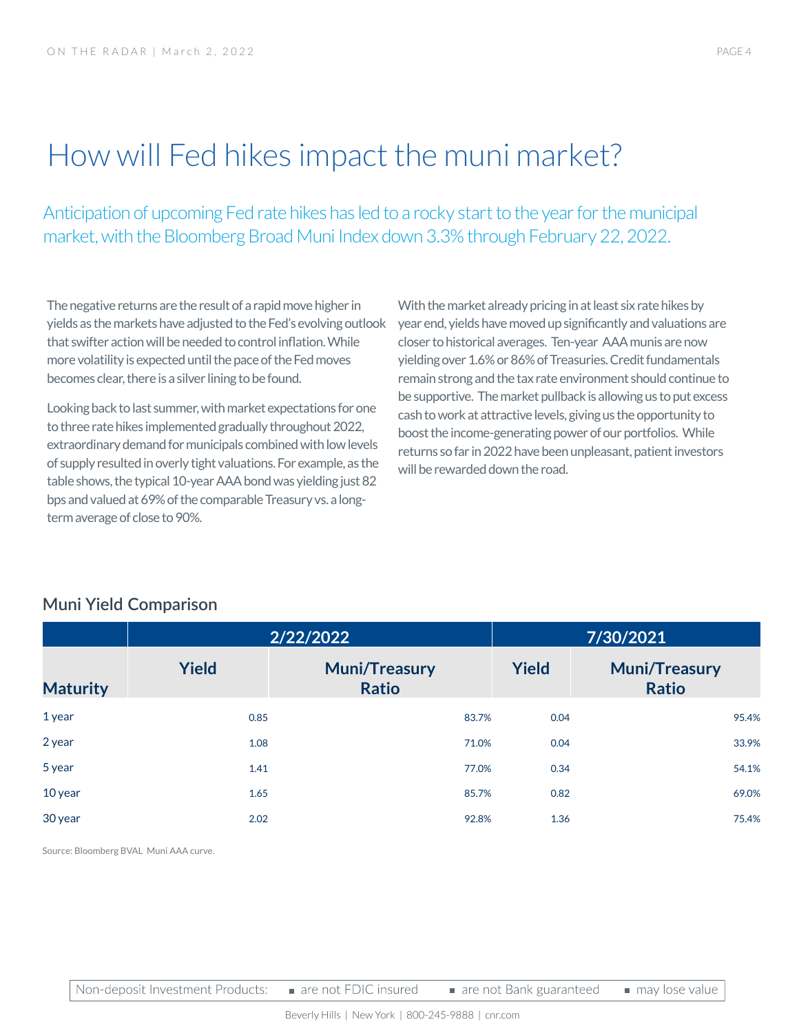# How will Fed hikes impact the muni market?

Anticipation of upcoming Fed rate hikes has led to a rocky start to the year for the municipal market, with the Bloomberg Broad Muni Index down 3.3% through February 22, 2022.

The negative returns are the result of a rapid move higher in yields as the markets have adjusted to the Fed's evolving outlook that swifter action will be needed to control inflation. While more volatility is expected until the pace of the Fed moves becomes clear, there is a silver lining to be found.

Looking back to last summer, with market expectations for one to three rate hikes implemented gradually throughout 2022, extraordinary demand for municipals combined with low levels of supply resulted in overly tight valuations. For example, as the table shows, the typical 10-year AAA bond was yielding just 82 bps and valued at 69% of the comparable Treasury vs. a longterm average of close to 90%.

With the market already pricing in at least six rate hikes by year end, yields have moved up significantly and valuations are closer to historical averages. Ten-year AAA munis are now yielding over 1.6% or 86% of Treasuries. Credit fundamentals remain strong and the tax rate environment should continue to be supportive. The market pullback is allowing us to put excess cash to work at attractive levels, giving us the opportunity to boost the income-generating power of our portfolios. While returns so far in 2022 have been unpleasant, patient investors will be rewarded down the road.

# **Muni Yield Comparison**

|                 | 2/22/2022    |                                      | 7/30/2021    |                                      |
|-----------------|--------------|--------------------------------------|--------------|--------------------------------------|
| <b>Maturity</b> | <b>Yield</b> | <b>Muni/Treasury</b><br><b>Ratio</b> | <b>Yield</b> | <b>Muni/Treasury</b><br><b>Ratio</b> |
| 1 year          | 0.85         | 83.7%                                | 0.04         | 95.4%                                |
| 2 year          | 1.08         | 71.0%                                | 0.04         | 33.9%                                |
| 5 year          | 1.41         | 77.0%                                | 0.34         | 54.1%                                |
| 10 year         | 1.65         | 85.7%                                | 0.82         | 69.0%                                |
| 30 year         | 2.02         | 92.8%                                | 1.36         | 75.4%                                |

Source: Bloomberg BVAL Muni AAA curve.